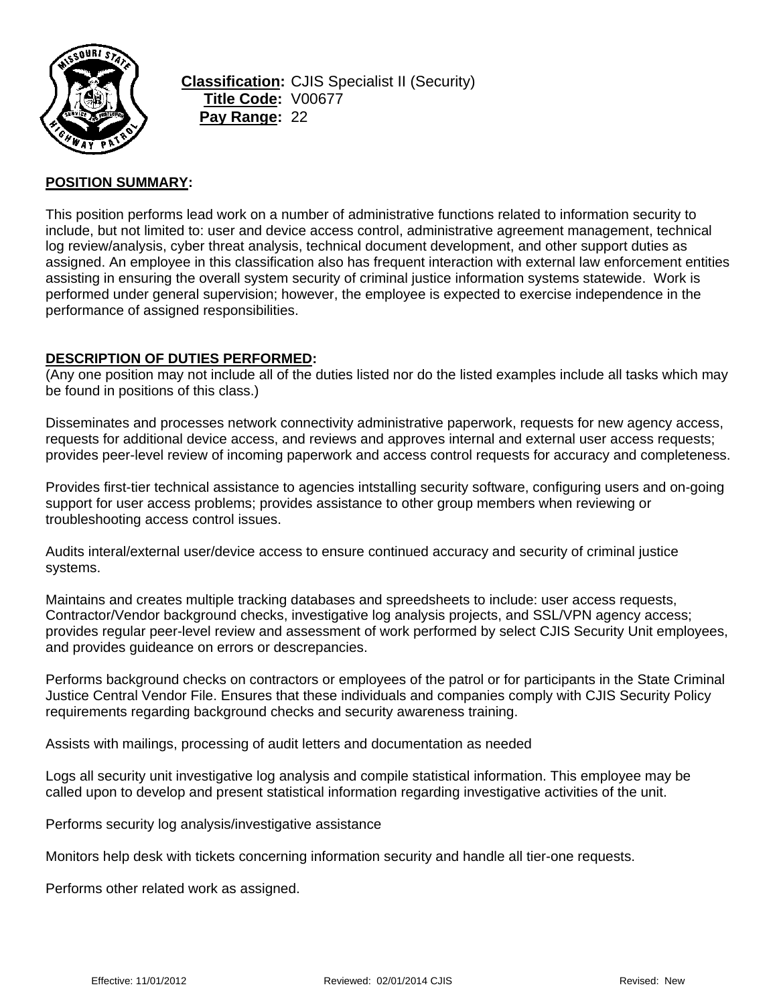

**Classification:** CJIS Specialist II (Security) **Title Code:** V00677 **Pay Range:** 22

### **POSITION SUMMARY:**

This position performs lead work on a number of administrative functions related to information security to include, but not limited to: user and device access control, administrative agreement management, technical log review/analysis, cyber threat analysis, technical document development, and other support duties as assigned. An employee in this classification also has frequent interaction with external law enforcement entities assisting in ensuring the overall system security of criminal justice information systems statewide. Work is performed under general supervision; however, the employee is expected to exercise independence in the performance of assigned responsibilities.

### **DESCRIPTION OF DUTIES PERFORMED:**

(Any one position may not include all of the duties listed nor do the listed examples include all tasks which may be found in positions of this class.)

Disseminates and processes network connectivity administrative paperwork, requests for new agency access, requests for additional device access, and reviews and approves internal and external user access requests; provides peer-level review of incoming paperwork and access control requests for accuracy and completeness.

Provides first-tier technical assistance to agencies intstalling security software, configuring users and on-going support for user access problems; provides assistance to other group members when reviewing or troubleshooting access control issues.

Audits interal/external user/device access to ensure continued accuracy and security of criminal justice systems.

Maintains and creates multiple tracking databases and spreedsheets to include: user access requests, Contractor/Vendor background checks, investigative log analysis projects, and SSL/VPN agency access; provides regular peer-level review and assessment of work performed by select CJIS Security Unit employees, and provides guideance on errors or descrepancies.

Performs background checks on contractors or employees of the patrol or for participants in the State Criminal Justice Central Vendor File. Ensures that these individuals and companies comply with CJIS Security Policy requirements regarding background checks and security awareness training.

Assists with mailings, processing of audit letters and documentation as needed

Logs all security unit investigative log analysis and compile statistical information. This employee may be called upon to develop and present statistical information regarding investigative activities of the unit.

Performs security log analysis/investigative assistance

Monitors help desk with tickets concerning information security and handle all tier-one requests.

Performs other related work as assigned.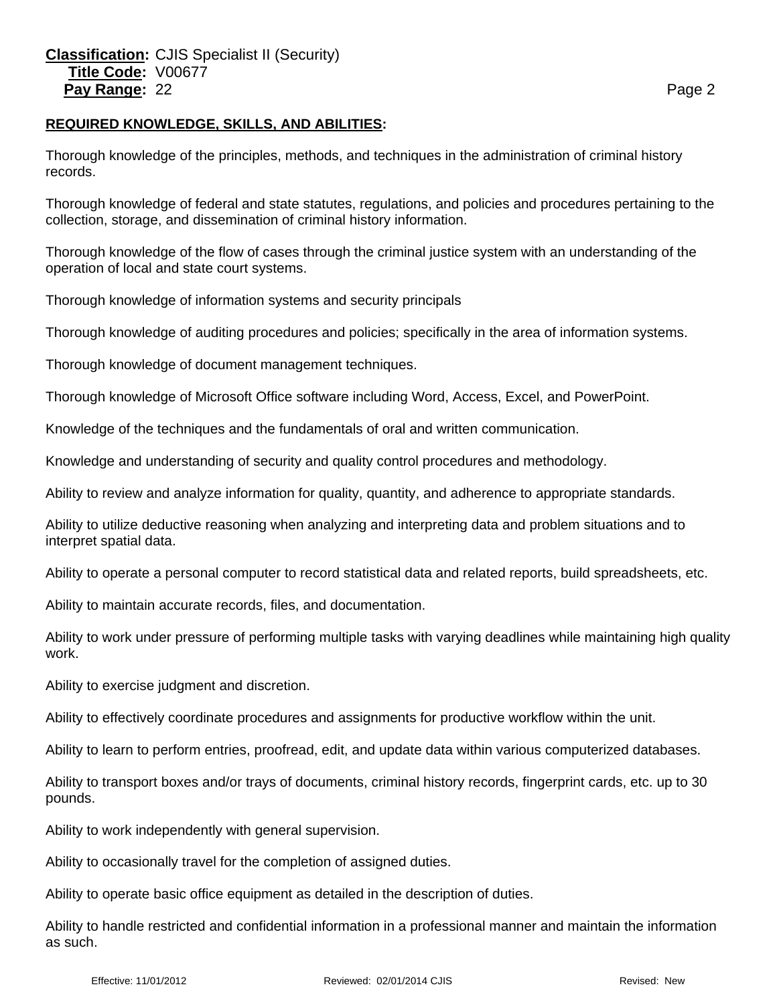#### **REQUIRED KNOWLEDGE, SKILLS, AND ABILITIES:**

Thorough knowledge of the principles, methods, and techniques in the administration of criminal history records.

Thorough knowledge of federal and state statutes, regulations, and policies and procedures pertaining to the collection, storage, and dissemination of criminal history information.

Thorough knowledge of the flow of cases through the criminal justice system with an understanding of the operation of local and state court systems.

Thorough knowledge of information systems and security principals

Thorough knowledge of auditing procedures and policies; specifically in the area of information systems.

Thorough knowledge of document management techniques.

Thorough knowledge of Microsoft Office software including Word, Access, Excel, and PowerPoint.

Knowledge of the techniques and the fundamentals of oral and written communication.

Knowledge and understanding of security and quality control procedures and methodology.

Ability to review and analyze information for quality, quantity, and adherence to appropriate standards.

Ability to utilize deductive reasoning when analyzing and interpreting data and problem situations and to interpret spatial data.

Ability to operate a personal computer to record statistical data and related reports, build spreadsheets, etc.

Ability to maintain accurate records, files, and documentation.

Ability to work under pressure of performing multiple tasks with varying deadlines while maintaining high quality work.

Ability to exercise judgment and discretion.

Ability to effectively coordinate procedures and assignments for productive workflow within the unit.

Ability to learn to perform entries, proofread, edit, and update data within various computerized databases.

Ability to transport boxes and/or trays of documents, criminal history records, fingerprint cards, etc. up to 30 pounds.

Ability to work independently with general supervision.

Ability to occasionally travel for the completion of assigned duties.

Ability to operate basic office equipment as detailed in the description of duties.

Ability to handle restricted and confidential information in a professional manner and maintain the information as such.